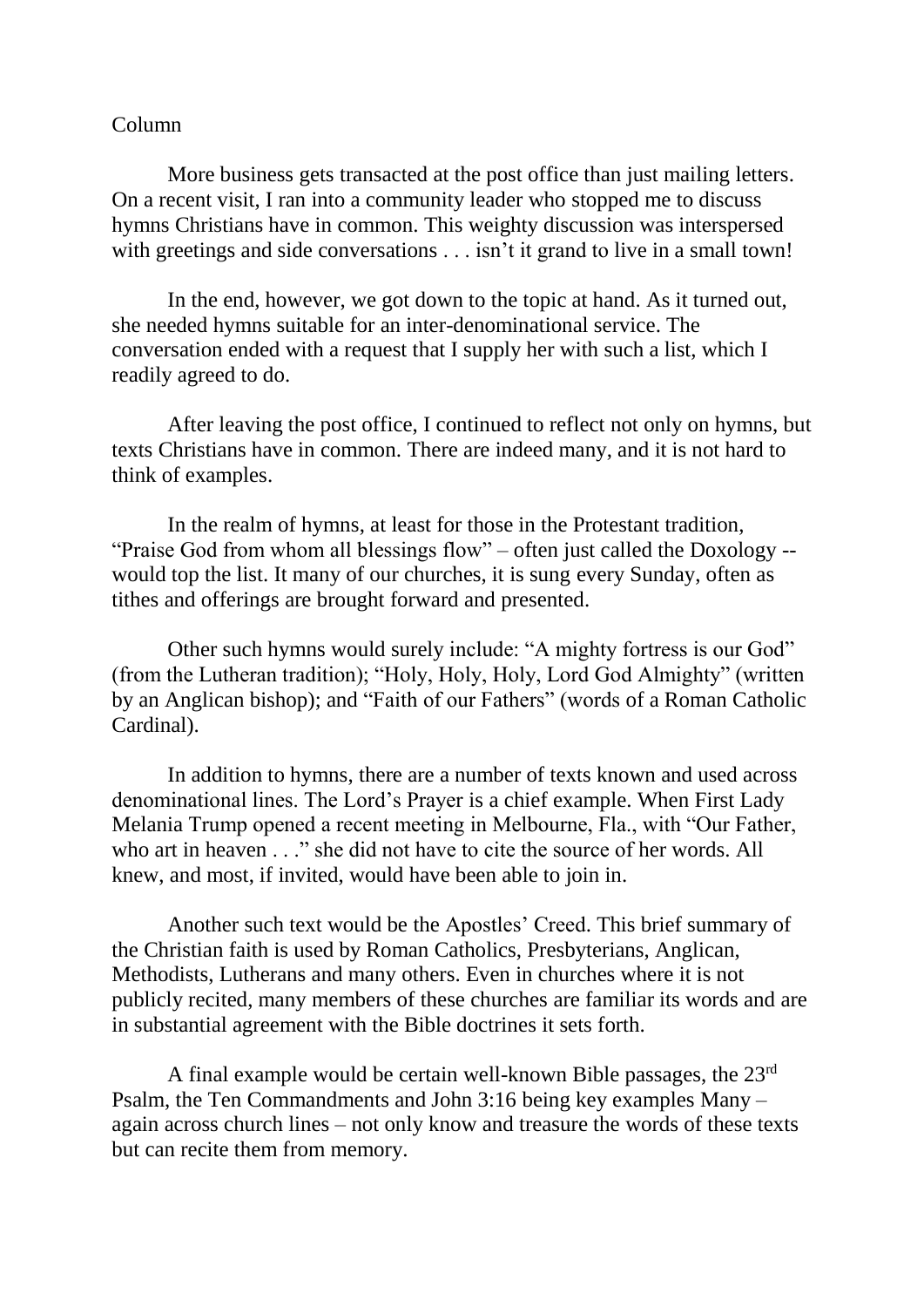## Column

More business gets transacted at the post office than just mailing letters. On a recent visit, I ran into a community leader who stopped me to discuss hymns Christians have in common. This weighty discussion was interspersed with greetings and side conversations . . . isn't it grand to live in a small town!

In the end, however, we got down to the topic at hand. As it turned out, she needed hymns suitable for an inter-denominational service. The conversation ended with a request that I supply her with such a list, which I readily agreed to do.

After leaving the post office, I continued to reflect not only on hymns, but texts Christians have in common. There are indeed many, and it is not hard to think of examples.

In the realm of hymns, at least for those in the Protestant tradition, "Praise God from whom all blessings flow" – often just called the Doxology - would top the list. It many of our churches, it is sung every Sunday, often as tithes and offerings are brought forward and presented.

Other such hymns would surely include: "A mighty fortress is our God" (from the Lutheran tradition); "Holy, Holy, Holy, Lord God Almighty" (written by an Anglican bishop); and "Faith of our Fathers" (words of a Roman Catholic Cardinal).

In addition to hymns, there are a number of texts known and used across denominational lines. The Lord's Prayer is a chief example. When First Lady Melania Trump opened a recent meeting in Melbourne, Fla., with "Our Father, who art in heaven . . ." she did not have to cite the source of her words. All knew, and most, if invited, would have been able to join in.

Another such text would be the Apostles' Creed. This brief summary of the Christian faith is used by Roman Catholics, Presbyterians, Anglican, Methodists, Lutherans and many others. Even in churches where it is not publicly recited, many members of these churches are familiar its words and are in substantial agreement with the Bible doctrines it sets forth.

A final example would be certain well-known Bible passages, the 23rd Psalm, the Ten Commandments and John 3:16 being key examples Many – again across church lines – not only know and treasure the words of these texts but can recite them from memory.